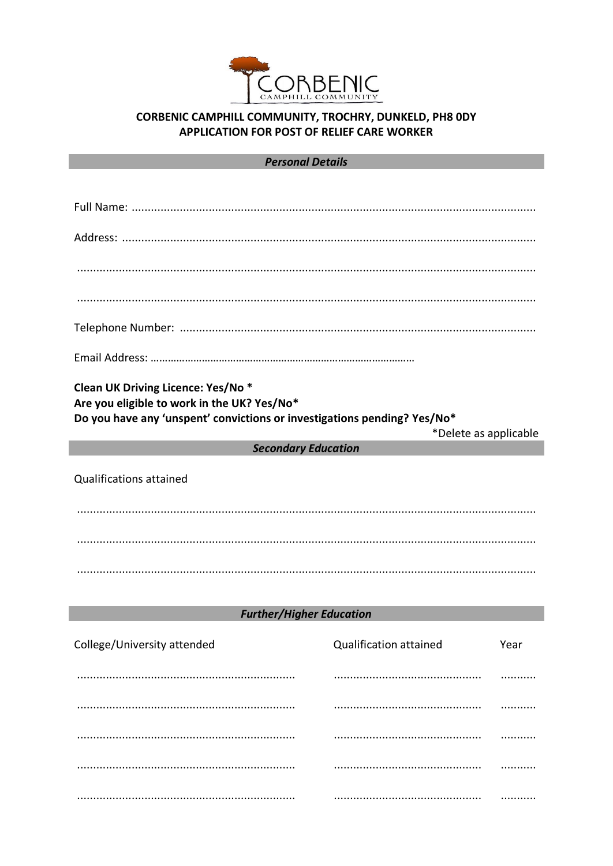

# CORBENIC CAMPHILL COMMUNITY, TROCHRY, DUNKELD, PH8 0DY **APPLICATION FOR POST OF RELIEF CARE WORKER**

### **Personal Details**

| Clean UK Driving Licence: Yes/No *<br>Are you eligible to work in the UK? Yes/No*<br>Do you have any 'unspent' convictions or investigations pending? Yes/No* |                               |      |  |  |
|---------------------------------------------------------------------------------------------------------------------------------------------------------------|-------------------------------|------|--|--|
|                                                                                                                                                               | *Delete as applicable         |      |  |  |
| <b>Secondary Education</b>                                                                                                                                    |                               |      |  |  |
| <b>Qualifications attained</b>                                                                                                                                |                               |      |  |  |
|                                                                                                                                                               |                               |      |  |  |
|                                                                                                                                                               |                               |      |  |  |
|                                                                                                                                                               |                               |      |  |  |
|                                                                                                                                                               |                               |      |  |  |
| <b>Further/Higher Education</b>                                                                                                                               |                               |      |  |  |
| College/University attended                                                                                                                                   | <b>Qualification attained</b> | Year |  |  |
|                                                                                                                                                               |                               |      |  |  |
|                                                                                                                                                               |                               |      |  |  |
|                                                                                                                                                               |                               |      |  |  |
|                                                                                                                                                               |                               |      |  |  |

. . . . . . . . . . .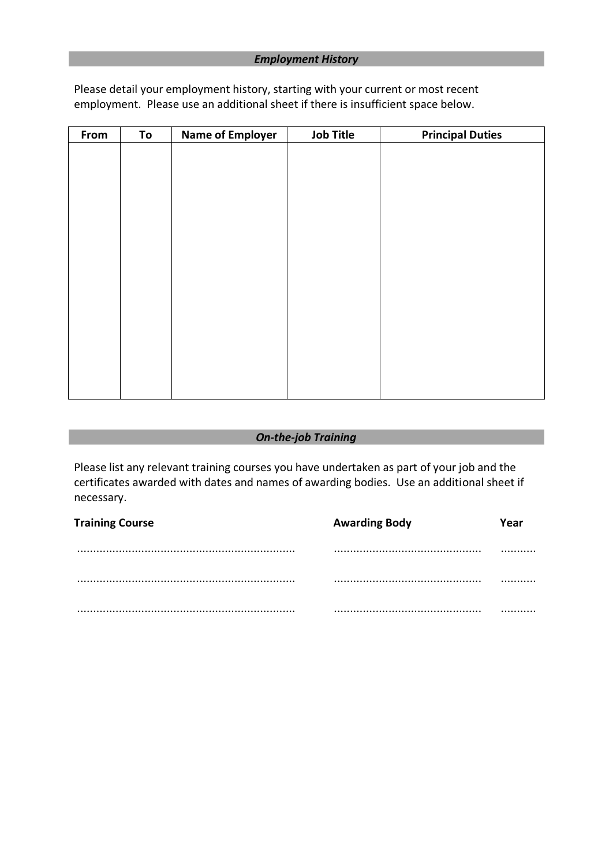Please detail your employment history, starting with your current or most recent employment. Please use an additional sheet if there is insufficient space below.

| From | To | <b>Name of Employer</b> | <b>Job Title</b> | <b>Principal Duties</b> |
|------|----|-------------------------|------------------|-------------------------|
|      |    |                         |                  |                         |
|      |    |                         |                  |                         |
|      |    |                         |                  |                         |
|      |    |                         |                  |                         |
|      |    |                         |                  |                         |
|      |    |                         |                  |                         |
|      |    |                         |                  |                         |
|      |    |                         |                  |                         |
|      |    |                         |                  |                         |
|      |    |                         |                  |                         |
|      |    |                         |                  |                         |
|      |    |                         |                  |                         |
|      |    |                         |                  |                         |
|      |    |                         |                  |                         |
|      |    |                         |                  |                         |
|      |    |                         |                  |                         |
|      |    |                         |                  |                         |

### *On-the-job Training*

Please list any relevant training courses you have undertaken as part of your job and the certificates awarded with dates and names of awarding bodies. Use an additional sheet if necessary.

| <b>Training Course</b> | <b>Awarding Body</b> | Yeai |
|------------------------|----------------------|------|
|                        |                      | .    |
|                        |                      | .    |
|                        |                      | .    |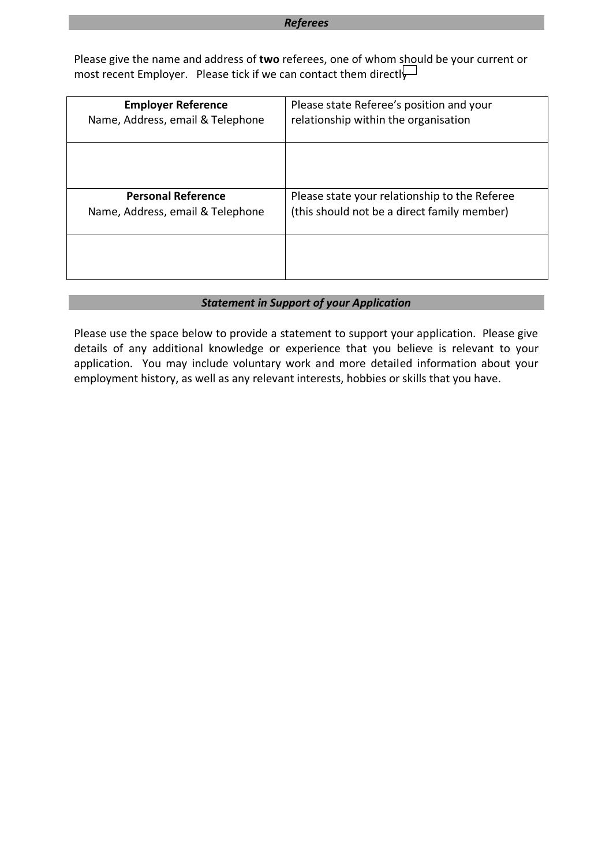#### *Referees*

Please give the name and address of **two** referees, one of whom should be your current or most recent Employer. Please tick if we can contact them directl

| <b>Employer Reference</b>        | Please state Referee's position and your      |  |
|----------------------------------|-----------------------------------------------|--|
| Name, Address, email & Telephone | relationship within the organisation          |  |
|                                  |                                               |  |
| <b>Personal Reference</b>        | Please state your relationship to the Referee |  |
| Name, Address, email & Telephone | (this should not be a direct family member)   |  |
|                                  |                                               |  |

### *Statement in Support of your Application* r

Please use the space below to provide a statement to support your application. Please give details of any additional knowledge or experience that you believe is relevant to your application. You may include voluntary work and more detailed information about your h employment history, as well as any relevant interests, hobbies or skills that you have. e